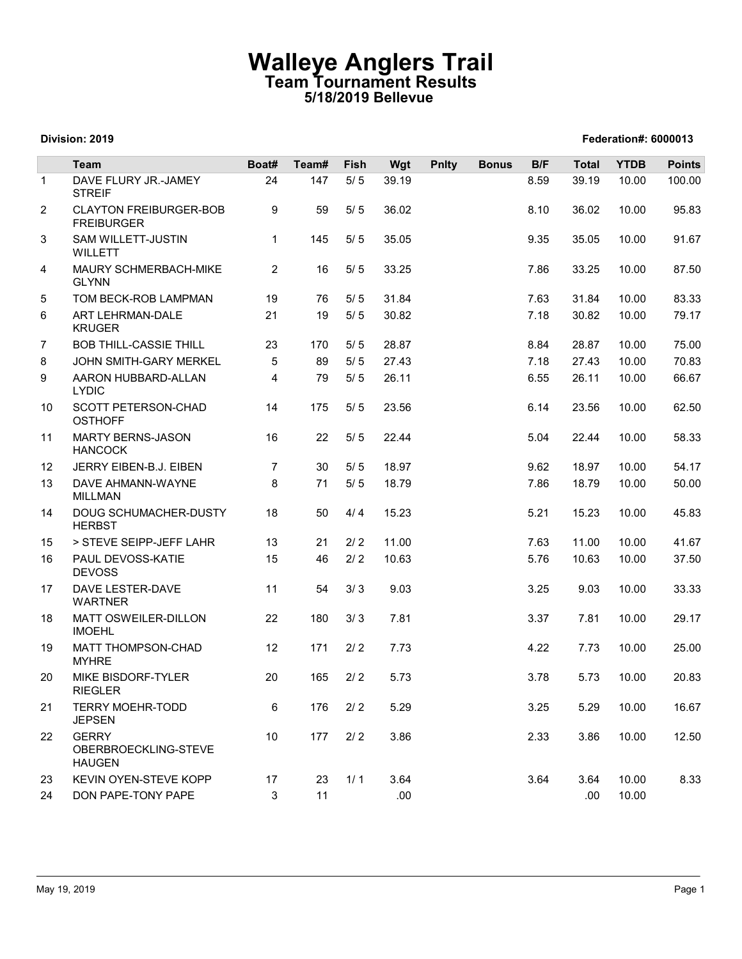## Walleye Anglers Trail Team Tournament Results 5/18/2019 Bellevue

|                |                                                                 |                | <b>Walleye Anglers Trail</b><br>Team Tournament Results |                | 5/18/2019 Bellevue |              |              |              |              |                      |                |
|----------------|-----------------------------------------------------------------|----------------|---------------------------------------------------------|----------------|--------------------|--------------|--------------|--------------|--------------|----------------------|----------------|
|                | Division: 2019                                                  |                |                                                         |                |                    |              |              |              |              | Federation#: 6000013 |                |
|                | <b>Team</b>                                                     | Boat#          | Team#                                                   | Fish           | Wgt                | <b>Pnlty</b> | <b>Bonus</b> | B/F          | <b>Total</b> | <b>YTDB</b>          | <b>Points</b>  |
| $\mathbf{1}$   | DAVE FLURY JR.-JAMEY<br><b>STREIF</b>                           | 24             | 147                                                     | $5/5$          | 39.19              |              |              | 8.59         | 39.19        | 10.00                | 100.00         |
| 2              | <b>CLAYTON FREIBURGER-BOB</b><br><b>FREIBURGER</b>              | 9              | 59                                                      | $5/5$          | 36.02              |              |              | 8.10         | 36.02        | 10.00                | 95.83          |
| 3              | SAM WILLETT-JUSTIN<br>WILLETT                                   | $\mathbf{1}$   | 145                                                     | 5/5            | 35.05              |              |              | 9.35         | 35.05        | 10.00                | 91.67          |
| $\overline{4}$ | MAURY SCHMERBACH-MIKE<br><b>GLYNN</b>                           | $\overline{2}$ | 16                                                      | $5/5$          | 33.25              |              |              | 7.86         | 33.25        | 10.00                | 87.50          |
| 5              | TOM BECK-ROB LAMPMAN                                            | 19             | 76                                                      | $5/5$          | 31.84              |              |              | 7.63         | 31.84        | 10.00                | 83.33          |
| 6              | ART LEHRMAN-DALE                                                | 21             | 19                                                      | $5/5$          | 30.82              |              |              | 7.18         | 30.82        | 10.00                | 79.17          |
| $\overline{7}$ | <b>KRUGER</b><br><b>BOB THILL-CASSIE THILL</b>                  | 23             | 170                                                     | $5/5$          | 28.87              |              |              | 8.84         | 28.87        |                      | 75.00          |
| 8              | JOHN SMITH-GARY MERKEL                                          | 5              | 89                                                      | 5/5            | 27.43              |              |              | 7.18         | 27.43        | 10.00<br>10.00       | 70.83          |
| 9              | AARON HUBBARD-ALLAN<br><b>LYDIC</b>                             | 4              | 79                                                      | 5/5            | 26.11              |              |              | 6.55         | 26.11        | 10.00                | 66.67          |
| 10             | SCOTT PETERSON-CHAD<br><b>OSTHOFF</b>                           | 14             | 175                                                     | 5/5            | 23.56              |              |              | 6.14         | 23.56        | 10.00                | 62.50          |
| 11             | <b>MARTY BERNS-JASON</b><br><b>HANCOCK</b>                      | 16             | 22                                                      | $5/5$          | 22.44              |              |              | 5.04         | 22.44        | 10.00                | 58.33          |
| 12             | JERRY EIBEN-B.J. EIBEN                                          | $\overline{7}$ | 30                                                      | $5/5$          | 18.97              |              |              | 9.62         | 18.97        | 10.00                | 54.17          |
| 13             | DAVE AHMANN-WAYNE<br>MILLMAN                                    | 8              | 71                                                      | $5/5$          | 18.79              |              |              | 7.86         | 18.79        | 10.00                | 50.00          |
| 14             | DOUG SCHUMACHER-DUSTY<br><b>HERBST</b>                          | 18             | 50                                                      | 4/4            | 15.23              |              |              | 5.21         | 15.23        | 10.00                | 45.83          |
| 15             | > STEVE SEIPP-JEFF LAHR                                         | 13             | 21                                                      | $2/2$          | 11.00              |              |              | 7.63         | 11.00        | 10.00                | 41.67          |
| 16             | PAUL DEVOSS-KATIE<br><b>DEVOSS</b>                              | 15             | 46                                                      | $2/2$          | 10.63              |              |              | 5.76         | 10.63        | 10.00                | 37.50          |
| 17             | DAVE LESTER-DAVE<br><b>WARTNER</b>                              | 11             | 54                                                      | 3/3            | 9.03               |              |              | 3.25         | 9.03         | 10.00                | 33.33          |
| 18             | MATT OSWEILER-DILLON<br><b>IMOEHL</b>                           | 22             | 180                                                     | 3/3            | 7.81               |              |              | 3.37         | 7.81         | 10.00                | 29.17          |
| 19             | MATT THOMPSON-CHAD<br><b>MYHRE</b>                              | 12             | 171                                                     | 2/2            | 7.73               |              |              | 4.22         | 7.73         | 10.00                | 25.00          |
| 20             | MIKE BISDORF-TYLER<br><b>RIEGLER</b><br><b>TERRY MOEHR-TODD</b> | 20             | 165<br>176                                              | $2/2$<br>$2/2$ | 5.73<br>5.29       |              |              | 3.78<br>3.25 | 5.73<br>5.29 | 10.00                | 20.83<br>16.67 |
| 21<br>22       | <b>JEPSEN</b><br><b>GERRY</b>                                   | 6<br>10        | 177                                                     | 2/2            | 3.86               |              |              | 2.33         | 3.86         | 10.00<br>10.00       | 12.50          |
|                | OBERBROECKLING-STEVE<br><b>HAUGEN</b>                           |                |                                                         |                |                    |              |              |              |              |                      |                |
| 23             | KEVIN OYEN-STEVE KOPP                                           | 17             | 23                                                      | 1/1            | 3.64               |              |              | 3.64         | 3.64         | 10.00                | 8.33           |
| 24             | DON PAPE-TONY PAPE                                              | 3              | 11                                                      |                | .00                |              |              |              | .00          | 10.00                |                |

#### Division: 2019 Federation#: 6000013